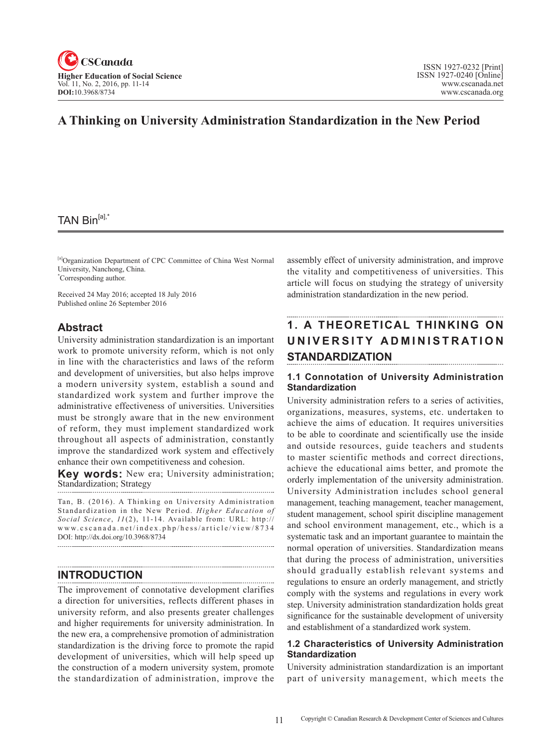

# **A Thinking on University Administration Standardization in the New Period**

# TAN Bin[a],\*

[a]Organization Department of CPC Committee of China West Normal University, Nanchong, China. \* Corresponding author.

Received 24 May 2016; accepted 18 July 2016 Published online 26 September 2016

#### **Abstract**

University administration standardization is an important work to promote university reform, which is not only in line with the characteristics and laws of the reform and development of universities, but also helps improve a modern university system, establish a sound and standardized work system and further improve the administrative effectiveness of universities. Universities must be strongly aware that in the new environment of reform, they must implement standardized work throughout all aspects of administration, constantly improve the standardized work system and effectively enhance their own competitiveness and cohesion.

**Key words:** New era; University administration; Standardization; Strategy

Tan, B. (2016). A Thinking on University Administration Standardization in the New Period. *Higher Education of*  Social Science, 11(2), 11-14. Available from: URL: http:// www.cscanada.net/index.php/hess/article/view/8734 DOI: http://dx.doi.org/10.3968/8734

## **INTRODUCTION**

The improvement of connotative development clarifies a direction for universities, reflects different phases in university reform, and also presents greater challenges and higher requirements for university administration. In the new era, a comprehensive promotion of administration standardization is the driving force to promote the rapid development of universities, which will help speed up the construction of a modern university system, promote the standardization of administration, improve the assembly effect of university administration, and improve the vitality and competitiveness of universities. This article will focus on studying the strategy of university administration standardization in the new period.

# **1. A THEORETICAL THINKING ON**  UNIVERSITY ADMINISTRATION **STANDARDIZATION**

#### **1.1 Connotation of University Administration Standardization**

University administration refers to a series of activities, organizations, measures, systems, etc. undertaken to achieve the aims of education. It requires universities to be able to coordinate and scientifically use the inside and outside resources, guide teachers and students to master scientific methods and correct directions, achieve the educational aims better, and promote the orderly implementation of the university administration. University Administration includes school general management, teaching management, teacher management, student management, school spirit discipline management and school environment management, etc., which is a systematic task and an important guarantee to maintain the normal operation of universities. Standardization means that during the process of administration, universities should gradually establish relevant systems and regulations to ensure an orderly management, and strictly comply with the systems and regulations in every work step. University administration standardization holds great significance for the sustainable development of university and establishment of a standardized work system.

#### **1.2 Characteristics of University Administration Standardization**

University administration standardization is an important part of university management, which meets the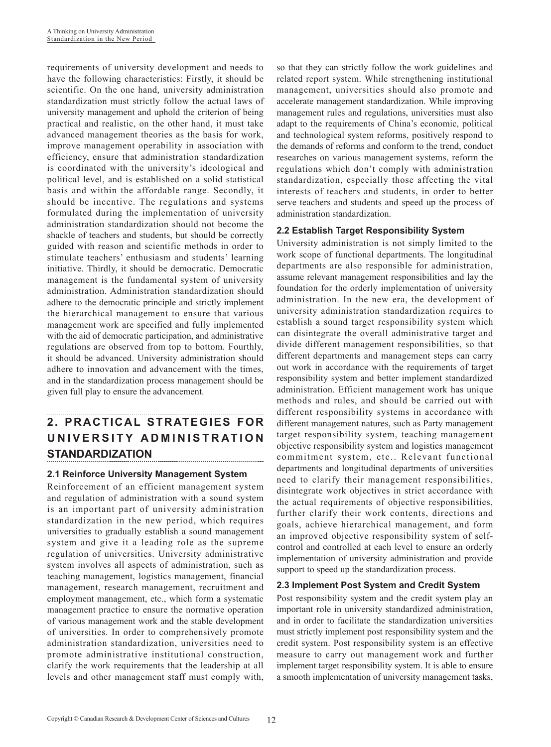requirements of university development and needs to have the following characteristics: Firstly, it should be scientific. On the one hand, university administration standardization must strictly follow the actual laws of university management and uphold the criterion of being practical and realistic, on the other hand, it must take advanced management theories as the basis for work, improve management operability in association with efficiency, ensure that administration standardization is coordinated with the university's ideological and political level, and is established on a solid statistical basis and within the affordable range. Secondly, it should be incentive. The regulations and systems formulated during the implementation of university administration standardization should not become the shackle of teachers and students, but should be correctly guided with reason and scientific methods in order to stimulate teachers' enthusiasm and students' learning initiative. Thirdly, it should be democratic. Democratic management is the fundamental system of university administration. Administration standardization should adhere to the democratic principle and strictly implement the hierarchical management to ensure that various management work are specified and fully implemented with the aid of democratic participation, and administrative regulations are observed from top to bottom. Fourthly, it should be advanced. University administration should adhere to innovation and advancement with the times, and in the standardization process management should be given full play to ensure the advancement.

## **2. PRACTICAL STRATEGIES FOR U N I V E R S I T Y A D M I N I S T R AT I O N STANDARDIZATION**

## **2.1 Reinforce University Management System**

Reinforcement of an efficient management system and regulation of administration with a sound system is an important part of university administration standardization in the new period, which requires universities to gradually establish a sound management system and give it a leading role as the supreme regulation of universities. University administrative system involves all aspects of administration, such as teaching management, logistics management, financial management, research management, recruitment and employment management, etc., which form a systematic management practice to ensure the normative operation of various management work and the stable development of universities. In order to comprehensively promote administration standardization, universities need to promote administrative institutional construction, clarify the work requirements that the leadership at all levels and other management staff must comply with,

so that they can strictly follow the work guidelines and related report system. While strengthening institutional management, universities should also promote and accelerate management standardization. While improving management rules and regulations, universities must also adapt to the requirements of China's economic, political and technological system reforms, positively respond to the demands of reforms and conform to the trend, conduct researches on various management systems, reform the regulations which don't comply with administration standardization, especially those affecting the vital interests of teachers and students, in order to better serve teachers and students and speed up the process of administration standardization.

## **2.2 Establish Target Responsibility System**

University administration is not simply limited to the work scope of functional departments. The longitudinal departments are also responsible for administration, assume relevant management responsibilities and lay the foundation for the orderly implementation of university administration. In the new era, the development of university administration standardization requires to establish a sound target responsibility system which can disintegrate the overall administrative target and divide different management responsibilities, so that different departments and management steps can carry out work in accordance with the requirements of target responsibility system and better implement standardized administration. Efficient management work has unique methods and rules, and should be carried out with different responsibility systems in accordance with different management natures, such as Party management target responsibility system, teaching management objective responsibility system and logistics management commitment system, etc.. Relevant functional departments and longitudinal departments of universities need to clarify their management responsibilities, disintegrate work objectives in strict accordance with the actual requirements of objective responsibilities, further clarify their work contents, directions and goals, achieve hierarchical management, and form an improved objective responsibility system of selfcontrol and controlled at each level to ensure an orderly implementation of university administration and provide support to speed up the standardization process.

## **2.3 Implement Post System and Credit System**

Post responsibility system and the credit system play an important role in university standardized administration, and in order to facilitate the standardization universities must strictly implement post responsibility system and the credit system. Post responsibility system is an effective measure to carry out management work and further implement target responsibility system. It is able to ensure a smooth implementation of university management tasks,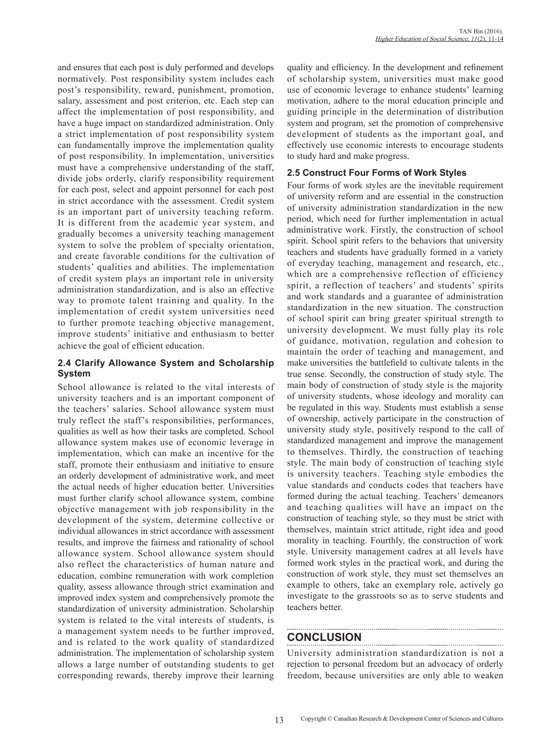and ensures that each post is duly performed and develops normatively. Post responsibility system includes each post's responsibility, reward, punishment, promotion, salary, assessment and post criterion, etc. Each step can affect the implementation of post responsibility, and have a huge impact on standardized administration. Only a strict implementation of post responsibility system can fundamentally improve the implementation quality of post responsibility. In implementation, universities must have a comprehensive understanding of the staff, divide jobs orderly, clarify responsibility requirement for each post, select and appoint personnel for each post in strict accordance with the assessment. Credit system is an important part of university teaching reform. It is different from the academic year system, and gradually becomes a university teaching management system to solve the problem of specialty orientation, and create favorable conditions for the cultivation of students' qualities and abilities. The implementation of credit system plays an important role in university administration standardization, and is also an effective way to promote talent training and quality. In the implementation of credit system universities need to further promote teaching objective management, improve students' initiative and enthusiasm to better achieve the goal of efficient education.

## **2.4 Clarify Allowance System and Scholarship System**

School allowance is related to the vital interests of university teachers and is an important component of the teachers' salaries. School allowance system must truly reflect the staff's responsibilities, performances, qualities as well as how their tasks are completed. School allowance system makes use of economic leverage in implementation, which can make an incentive for the staff, promote their enthusiasm and initiative to ensure an orderly development of administrative work, and meet the actual needs of higher education better. Universities must further clarify school allowance system, combine objective management with job responsibility in the development of the system, determine collective or individual allowances in strict accordance with assessment results, and improve the fairness and rationality of school allowance system. School allowance system should also reflect the characteristics of human nature and education, combine remuneration with work completion quality, assess allowance through strict examination and improved index system and comprehensively promote the standardization of university administration. Scholarship system is related to the vital interests of students, is a management system needs to be further improved, and is related to the work quality of standardized administration. The implementation of scholarship system allows a large number of outstanding students to get corresponding rewards, thereby improve their learning quality and efficiency. In the development and refinement of scholarship system, universities must make good use of economic leverage to enhance students' learning motivation, adhere to the moral education principle and guiding principle in the determination of distribution system and program, set the promotion of comprehensive development of students as the important goal, and effectively use economic interests to encourage students to study hard and make progress.

#### **2.5 Construct Four Forms of Work Styles**

Four forms of work styles are the inevitable requirement of university reform and are essential in the construction of university administration standardization in the new period, which need for further implementation in actual administrative work. Firstly, the construction of school spirit. School spirit refers to the behaviors that university teachers and students have gradually formed in a variety of everyday teaching, management and research, etc., which are a comprehensive reflection of efficiency spirit, a reflection of teachers' and students' spirits and work standards and a guarantee of administration standardization in the new situation. The construction of school spirit can bring greater spiritual strength to university development. We must fully play its role of guidance, motivation, regulation and cohesion to maintain the order of teaching and management, and make universities the battlefield to cultivate talents in the true sense. Secondly, the construction of study style. The main body of construction of study style is the majority of university students, whose ideology and morality can be regulated in this way. Students must establish a sense of ownership, actively participate in the construction of university study style, positively respond to the call of standardized management and improve the management to themselves. Thirdly, the construction of teaching style. The main body of construction of teaching style is university teachers. Teaching style embodies the value standards and conducts codes that teachers have formed during the actual teaching. Teachers' demeanors and teaching qualities will have an impact on the construction of teaching style, so they must be strict with themselves, maintain strict attitude, right idea and good morality in teaching. Fourthly, the construction of work style. University management cadres at all levels have formed work styles in the practical work, and during the construction of work style, they must set themselves an example to others, take an exemplary role, actively go investigate to the grassroots so as to serve students and teachers better.

# **CONCLUSION**

University administration standardization is not a rejection to personal freedom but an advocacy of orderly freedom, because universities are only able to weaken